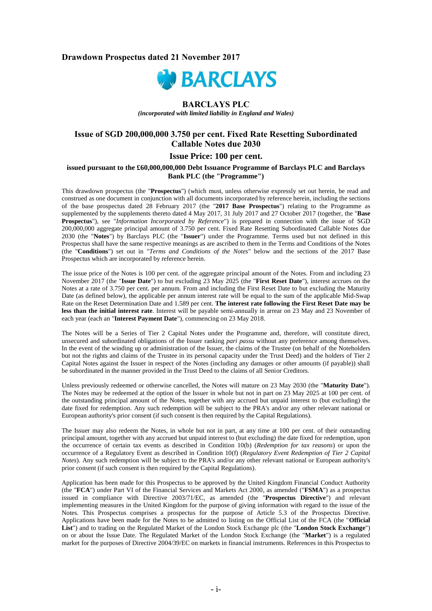# **Drawdown Prospectus dated 21 November 2017**



# **BARCLAYS PLC**

*(incorporated with limited liability in England and Wales)*

# **Issue of SGD 200,000,000 3.750 per cent. Fixed Rate Resetting Subordinated Callable Notes due 2030**

## **Issue Price: 100 per cent.**

#### **issued pursuant to the £60,000,000,000 Debt Issuance Programme of Barclays PLC and Barclays Bank PLC (the "Programme")**

This drawdown prospectus (the "**Prospectus**") (which must, unless otherwise expressly set out herein, be read and construed as one document in conjunction with all documents incorporated by reference herein, including the sections of the base prospectus dated 28 February 2017 (the "**2017 Base Prospectus**") relating to the Programme as supplemented by the supplements thereto dated 4 May 2017, 31 July 2017 and 27 October 2017 (together, the "**Base Prospectus**"), see "*Information Incorporated by Reference*") is prepared in connection with the issue of SGD 200,000,000 aggregate principal amount of 3.750 per cent. Fixed Rate Resetting Subordinated Callable Notes due 2030 (the "**Notes**") by Barclays PLC (the "**Issuer**") under the Programme. Terms used but not defined in this Prospectus shall have the same respective meanings as are ascribed to them in the Terms and Conditions of the Notes (the "**Conditions**") set out in "*Terms and Conditions of the Notes*" below and the sections of the 2017 Base Prospectus which are incorporated by reference herein.

The issue price of the Notes is 100 per cent. of the aggregate principal amount of the Notes. From and including 23 November 2017 (the "**Issue Date**") to but excluding 23 May 2025 (the "**First Reset Date**"), interest accrues on the Notes at a rate of 3.750 per cent. per annum. From and including the First Reset Date to but excluding the Maturity Date (as defined below), the applicable per annum interest rate will be equal to the sum of the applicable Mid-Swap Rate on the Reset Determination Date and 1.589 per cent. **The interest rate following the First Reset Date may be less than the initial interest rate**. Interest will be payable semi-annually in arrear on 23 May and 23 November of each year (each an "**Interest Payment Date**"), commencing on 23 May 2018.

The Notes will be a Series of Tier 2 Capital Notes under the Programme and, therefore, will constitute direct, unsecured and subordinated obligations of the Issuer ranking *pari passu* without any preference among themselves. In the event of the winding up or administration of the Issuer, the claims of the Trustee (on behalf of the Noteholders but not the rights and claims of the Trustee in its personal capacity under the Trust Deed) and the holders of Tier 2 Capital Notes against the Issuer in respect of the Notes (including any damages or other amounts (if payable)) shall be subordinated in the manner provided in the Trust Deed to the claims of all Senior Creditors.

Unless previously redeemed or otherwise cancelled, the Notes will mature on 23 May 2030 (the "**Maturity Date**"). The Notes may be redeemed at the option of the Issuer in whole but not in part on 23 May 2025 at 100 per cent. of the outstanding principal amount of the Notes, together with any accrued but unpaid interest to (but excluding) the date fixed for redemption. Any such redemption will be subject to the PRA's and/or any other relevant national or European authority's prior consent (if such consent is then required by the Capital Regulations).

The Issuer may also redeem the Notes, in whole but not in part, at any time at 100 per cent. of their outstanding principal amount, together with any accrued but unpaid interest to (but excluding) the date fixed for redemption, upon the occurrence of certain tax events as described in Condition 10(b) (*Redemption for tax reasons*) or upon the occurrence of a Regulatory Event as described in Condition 10(f) (*Regulatory Event Redemption of Tier 2 Capital Notes*). Any such redemption will be subject to the PRA's and/or any other relevant national or European authority's prior consent (if such consent is then required by the Capital Regulations).

Application has been made for this Prospectus to be approved by the United Kingdom Financial Conduct Authority (the "**FCA**") under Part VI of the Financial Services and Markets Act 2000, as amended ("**FSMA**") as a prospectus issued in compliance with Directive 2003/71/EC, as amended (the "**Prospectus Directive**") and relevant implementing measures in the United Kingdom for the purpose of giving information with regard to the issue of the Notes. This Prospectus comprises a prospectus for the purpose of Article 5.3 of the Prospectus Directive. Applications have been made for the Notes to be admitted to listing on the Official List of the FCA (the "**Official List**") and to trading on the Regulated Market of the London Stock Exchange plc (the "**London Stock Exchange**") on or about the Issue Date. The Regulated Market of the London Stock Exchange (the "**Market**") is a regulated market for the purposes of Directive 2004/39/EC on markets in financial instruments. References in this Prospectus to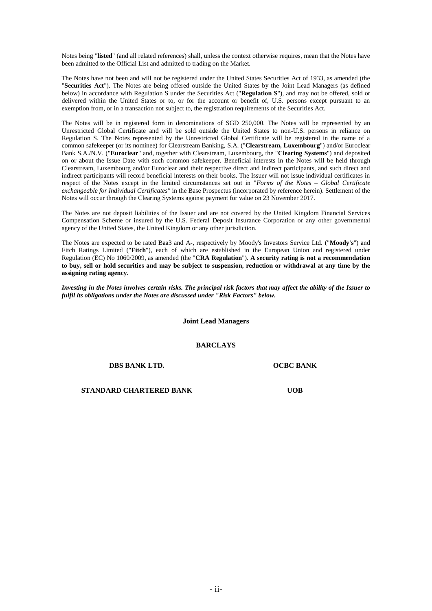Notes being "**listed**" (and all related references) shall, unless the context otherwise requires, mean that the Notes have been admitted to the Official List and admitted to trading on the Market.

The Notes have not been and will not be registered under the United States Securities Act of 1933, as amended (the "**Securities Act**"). The Notes are being offered outside the United States by the Joint Lead Managers (as defined below) in accordance with Regulation S under the Securities Act ("**Regulation S**"), and may not be offered, sold or delivered within the United States or to, or for the account or benefit of, U.S. persons except pursuant to an exemption from, or in a transaction not subject to, the registration requirements of the Securities Act.

The Notes will be in registered form in denominations of SGD 250,000. The Notes will be represented by an Unrestricted Global Certificate and will be sold outside the United States to non-U.S. persons in reliance on Regulation S. The Notes represented by the Unrestricted Global Certificate will be registered in the name of a common safekeeper (or its nominee) for Clearstream Banking, S.A. ("**Clearstream, Luxembourg**") and/or Euroclear Bank S.A./N.V. ("**Euroclear**" and, together with Clearstream, Luxembourg, the "**Clearing Systems**") and deposited on or about the Issue Date with such common safekeeper. Beneficial interests in the Notes will be held through Clearstream, Luxembourg and/or Euroclear and their respective direct and indirect participants, and such direct and indirect participants will record beneficial interests on their books. The Issuer will not issue individual certificates in respect of the Notes except in the limited circumstances set out in "*Forms of the Notes – Global Certificate exchangeable for Individual Certificates"* in the Base Prospectus (incorporated by reference herein). Settlement of the Notes will occur through the Clearing Systems against payment for value on 23 November 2017.

The Notes are not deposit liabilities of the Issuer and are not covered by the United Kingdom Financial Services Compensation Scheme or insured by the U.S. Federal Deposit Insurance Corporation or any other governmental agency of the United States, the United Kingdom or any other jurisdiction.

The Notes are expected to be rated Baa3 and A-, respectively by Moody's Investors Service Ltd. ("**Moody's**") and Fitch Ratings Limited ("**Fitch**"), each of which are established in the European Union and registered under Regulation (EC) No 1060/2009, as amended (the "**CRA Regulation**"). **A security rating is not a recommendation to buy, sell or hold securities and may be subject to suspension, reduction or withdrawal at any time by the assigning rating agency.**

*Investing in the Notes involves certain risks. The principal risk factors that may affect the ability of the Issuer to fulfil its obligations under the Notes are discussed under "Risk Factors" below.*

**Joint Lead Managers**

**BARCLAYS**

**DBS BANK LTD. OCBC BANK** 

**STANDARD CHARTERED BANK UOB**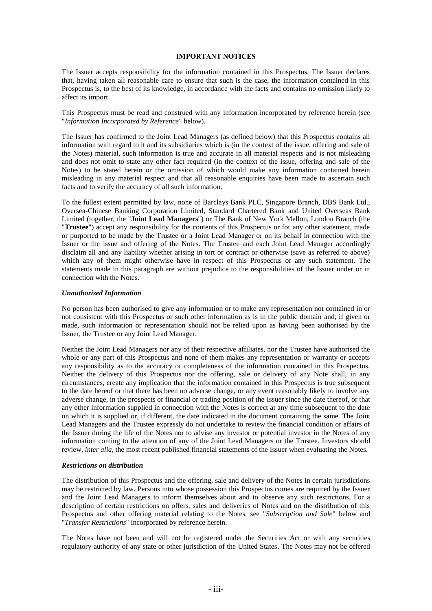### **IMPORTANT NOTICES**

The Issuer accepts responsibility for the information contained in this Prospectus. The Issuer declares that, having taken all reasonable care to ensure that such is the case, the information contained in this Prospectus is, to the best of its knowledge, in accordance with the facts and contains no omission likely to affect its import.

This Prospectus must be read and construed with any information incorporated by reference herein (see "*Information Incorporated by Reference*" below).

The Issuer has confirmed to the Joint Lead Managers (as defined below) that this Prospectus contains all information with regard to it and its subsidiaries which is (in the context of the issue, offering and sale of the Notes) material, such information is true and accurate in all material respects and is not misleading and does not omit to state any other fact required (in the context of the issue, offering and sale of the Notes) to be stated herein or the omission of which would make any information contained herein misleading in any material respect and that all reasonable enquiries have been made to ascertain such facts and to verify the accuracy of all such information.

To the fullest extent permitted by law, none of Barclays Bank PLC, Singapore Branch, DBS Bank Ltd., Oversea-Chinese Banking Corporation Limited, Standard Chartered Bank and United Overseas Bank Limited (together, the "**Joint Lead Managers**") or The Bank of New York Mellon, London Branch (the "**Trustee**") accept any responsibility for the contents of this Prospectus or for any other statement, made or purported to be made by the Trustee or a Joint Lead Manager or on its behalf in connection with the Issuer or the issue and offering of the Notes. The Trustee and each Joint Lead Manager accordingly disclaim all and any liability whether arising in tort or contract or otherwise (save as referred to above) which any of them might otherwise have in respect of this Prospectus or any such statement. The statements made in this paragraph are without prejudice to the responsibilities of the Issuer under or in connection with the Notes.

#### *Unauthorised Information*

No person has been authorised to give any information or to make any representation not contained in or not consistent with this Prospectus or such other information as is in the public domain and, if given or made, such information or representation should not be relied upon as having been authorised by the Issuer, the Trustee or any Joint Lead Manager.

Neither the Joint Lead Managers nor any of their respective affiliates, nor the Trustee have authorised the whole or any part of this Prospectus and none of them makes any representation or warranty or accepts any responsibility as to the accuracy or completeness of the information contained in this Prospectus. Neither the delivery of this Prospectus nor the offering, sale or delivery of any Note shall, in any circumstances, create any implication that the information contained in this Prospectus is true subsequent to the date hereof or that there has been no adverse change, or any event reasonably likely to involve any adverse change, in the prospects or financial or trading position of the Issuer since the date thereof, or that any other information supplied in connection with the Notes is correct at any time subsequent to the date on which it is supplied or, if different, the date indicated in the document containing the same. The Joint Lead Managers and the Trustee expressly do not undertake to review the financial condition or affairs of the Issuer during the life of the Notes nor to advise any investor or potential investor in the Notes of any information coming to the attention of any of the Joint Lead Managers or the Trustee. Investors should review, *inter alia*, the most recent published financial statements of the Issuer when evaluating the Notes.

#### *Restrictions on distribution*

The distribution of this Prospectus and the offering, sale and delivery of the Notes in certain jurisdictions may be restricted by law. Persons into whose possession this Prospectus comes are required by the Issuer and the Joint Lead Managers to inform themselves about and to observe any such restrictions. For a description of certain restrictions on offers, sales and deliveries of Notes and on the distribution of this Prospectus and other offering material relating to the Notes, see "*Subscription and Sale*" below and "*Transfer Restrictions*" incorporated by reference herein.

The Notes have not been and will not be registered under the Securities Act or with any securities regulatory authority of any state or other jurisdiction of the United States. The Notes may not be offered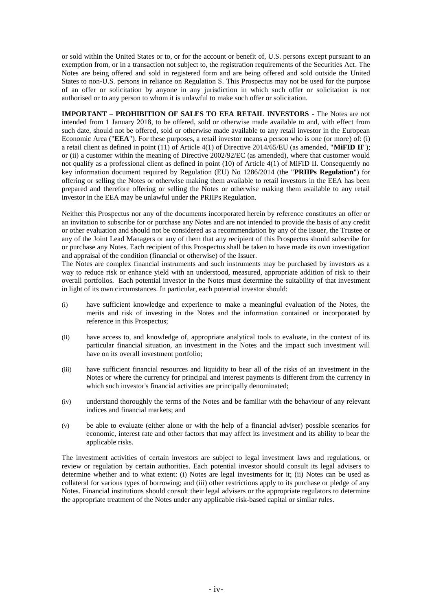or sold within the United States or to, or for the account or benefit of, U.S. persons except pursuant to an exemption from, or in a transaction not subject to, the registration requirements of the Securities Act. The Notes are being offered and sold in registered form and are being offered and sold outside the United States to non-U.S. persons in reliance on Regulation S. This Prospectus may not be used for the purpose of an offer or solicitation by anyone in any jurisdiction in which such offer or solicitation is not authorised or to any person to whom it is unlawful to make such offer or solicitation.

**IMPORTANT – PROHIBITION OF SALES TO EEA RETAIL INVESTORS -** The Notes are not intended from 1 January 2018, to be offered, sold or otherwise made available to and, with effect from such date, should not be offered, sold or otherwise made available to any retail investor in the European Economic Area ("**EEA**"). For these purposes, a retail investor means a person who is one (or more) of: (i) a retail client as defined in point (11) of Article 4(1) of Directive 2014/65/EU (as amended, "**MiFID II**"); or (ii) a customer within the meaning of Directive 2002/92/EC (as amended), where that customer would not qualify as a professional client as defined in point (10) of Article 4(1) of MiFID II. Consequently no key information document required by Regulation (EU) No 1286/2014 (the "**PRIIPs Regulation**") for offering or selling the Notes or otherwise making them available to retail investors in the EEA has been prepared and therefore offering or selling the Notes or otherwise making them available to any retail investor in the EEA may be unlawful under the PRIIPs Regulation.

Neither this Prospectus nor any of the documents incorporated herein by reference constitutes an offer or an invitation to subscribe for or purchase any Notes and are not intended to provide the basis of any credit or other evaluation and should not be considered as a recommendation by any of the Issuer, the Trustee or any of the Joint Lead Managers or any of them that any recipient of this Prospectus should subscribe for or purchase any Notes. Each recipient of this Prospectus shall be taken to have made its own investigation and appraisal of the condition (financial or otherwise) of the Issuer.

The Notes are complex financial instruments and such instruments may be purchased by investors as a way to reduce risk or enhance yield with an understood, measured, appropriate addition of risk to their overall portfolios. Each potential investor in the Notes must determine the suitability of that investment in light of its own circumstances. In particular, each potential investor should:

- (i) have sufficient knowledge and experience to make a meaningful evaluation of the Notes, the merits and risk of investing in the Notes and the information contained or incorporated by reference in this Prospectus;
- (ii) have access to, and knowledge of, appropriate analytical tools to evaluate, in the context of its particular financial situation, an investment in the Notes and the impact such investment will have on its overall investment portfolio;
- (iii) have sufficient financial resources and liquidity to bear all of the risks of an investment in the Notes or where the currency for principal and interest payments is different from the currency in which such investor's financial activities are principally denominated;
- (iv) understand thoroughly the terms of the Notes and be familiar with the behaviour of any relevant indices and financial markets; and
- (v) be able to evaluate (either alone or with the help of a financial adviser) possible scenarios for economic, interest rate and other factors that may affect its investment and its ability to bear the applicable risks.

The investment activities of certain investors are subject to legal investment laws and regulations, or review or regulation by certain authorities. Each potential investor should consult its legal advisers to determine whether and to what extent: (i) Notes are legal investments for it; (ii) Notes can be used as collateral for various types of borrowing; and (iii) other restrictions apply to its purchase or pledge of any Notes. Financial institutions should consult their legal advisers or the appropriate regulators to determine the appropriate treatment of the Notes under any applicable risk-based capital or similar rules.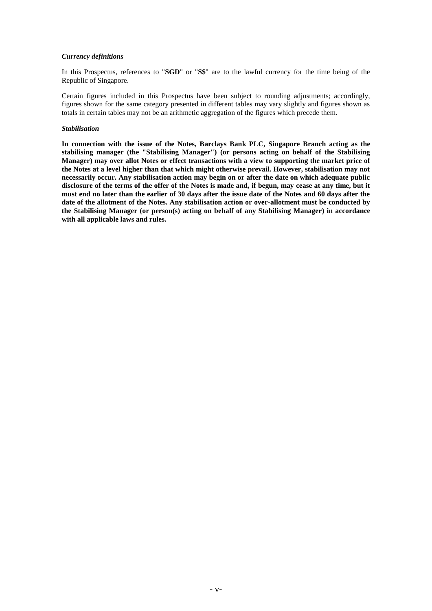## *Currency definitions*

In this Prospectus, references to "**SGD**" or "**S\$**" are to the lawful currency for the time being of the Republic of Singapore.

Certain figures included in this Prospectus have been subject to rounding adjustments; accordingly, figures shown for the same category presented in different tables may vary slightly and figures shown as totals in certain tables may not be an arithmetic aggregation of the figures which precede them.

#### *Stabilisation*

**In connection with the issue of the Notes, Barclays Bank PLC, Singapore Branch acting as the stabilising manager (the "Stabilising Manager") (or persons acting on behalf of the Stabilising Manager) may over allot Notes or effect transactions with a view to supporting the market price of the Notes at a level higher than that which might otherwise prevail. However, stabilisation may not necessarily occur. Any stabilisation action may begin on or after the date on which adequate public disclosure of the terms of the offer of the Notes is made and, if begun, may cease at any time, but it must end no later than the earlier of 30 days after the issue date of the Notes and 60 days after the date of the allotment of the Notes. Any stabilisation action or over-allotment must be conducted by the Stabilising Manager (or person(s) acting on behalf of any Stabilising Manager) in accordance with all applicable laws and rules.**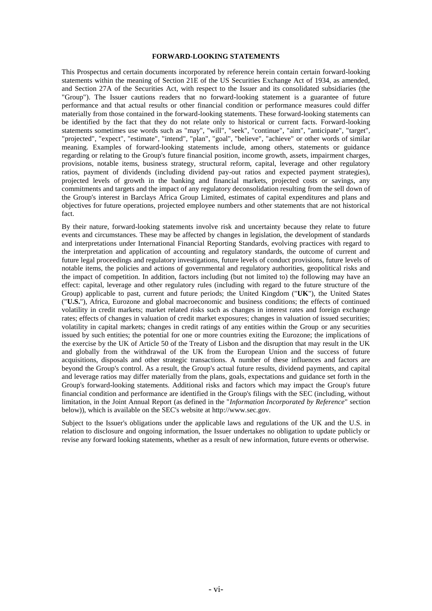#### **FORWARD-LOOKING STATEMENTS**

This Prospectus and certain documents incorporated by reference herein contain certain forward-looking statements within the meaning of Section 21E of the US Securities Exchange Act of 1934, as amended, and Section 27A of the Securities Act, with respect to the Issuer and its consolidated subsidiaries (the "Group"). The Issuer cautions readers that no forward-looking statement is a guarantee of future performance and that actual results or other financial condition or performance measures could differ materially from those contained in the forward-looking statements. These forward-looking statements can be identified by the fact that they do not relate only to historical or current facts. Forward-looking statements sometimes use words such as "may", "will", "seek", "continue", "aim", "anticipate", "target", "projected", "expect", "estimate", "intend", "plan", "goal", "believe", "achieve" or other words of similar meaning. Examples of forward-looking statements include, among others, statements or guidance regarding or relating to the Group's future financial position, income growth, assets, impairment charges, provisions, notable items, business strategy, structural reform, capital, leverage and other regulatory ratios, payment of dividends (including dividend pay-out ratios and expected payment strategies), projected levels of growth in the banking and financial markets, projected costs or savings, any commitments and targets and the impact of any regulatory deconsolidation resulting from the sell down of the Group's interest in Barclays Africa Group Limited, estimates of capital expenditures and plans and objectives for future operations, projected employee numbers and other statements that are not historical fact.

By their nature, forward-looking statements involve risk and uncertainty because they relate to future events and circumstances. These may be affected by changes in legislation, the development of standards and interpretations under International Financial Reporting Standards, evolving practices with regard to the interpretation and application of accounting and regulatory standards, the outcome of current and future legal proceedings and regulatory investigations, future levels of conduct provisions, future levels of notable items, the policies and actions of governmental and regulatory authorities, geopolitical risks and the impact of competition. In addition, factors including (but not limited to) the following may have an effect: capital, leverage and other regulatory rules (including with regard to the future structure of the Group) applicable to past, current and future periods; the United Kingdom ("**UK**"), the United States ("**U.S.**"), Africa, Eurozone and global macroeconomic and business conditions; the effects of continued volatility in credit markets; market related risks such as changes in interest rates and foreign exchange rates; effects of changes in valuation of credit market exposures; changes in valuation of issued securities; volatility in capital markets; changes in credit ratings of any entities within the Group or any securities issued by such entities; the potential for one or more countries exiting the Eurozone; the implications of the exercise by the UK of Article 50 of the Treaty of Lisbon and the disruption that may result in the UK and globally from the withdrawal of the UK from the European Union and the success of future acquisitions, disposals and other strategic transactions. A number of these influences and factors are beyond the Group's control. As a result, the Group's actual future results, dividend payments, and capital and leverage ratios may differ materially from the plans, goals, expectations and guidance set forth in the Group's forward-looking statements. Additional risks and factors which may impact the Group's future financial condition and performance are identified in the Group's filings with the SEC (including, without limitation, in the Joint Annual Report (as defined in the "*Information Incorporated by Reference*" section below)), which is available on the SEC's website at http:/[/www.sec.gov.](http://www.sec.gov/)

Subject to the Issuer's obligations under the applicable laws and regulations of the UK and the U.S. in relation to disclosure and ongoing information, the Issuer undertakes no obligation to update publicly or revise any forward looking statements, whether as a result of new information, future events or otherwise.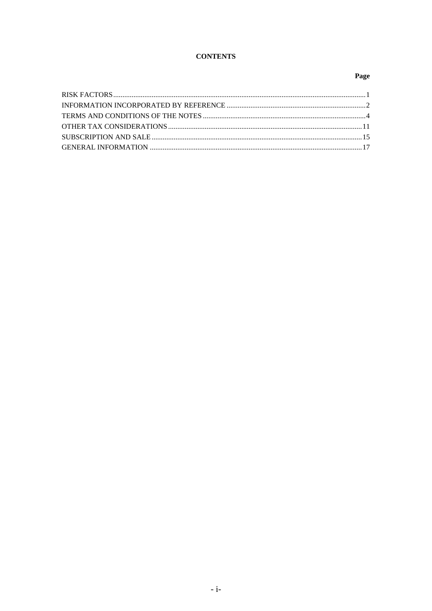# **CONTENTS**

# Page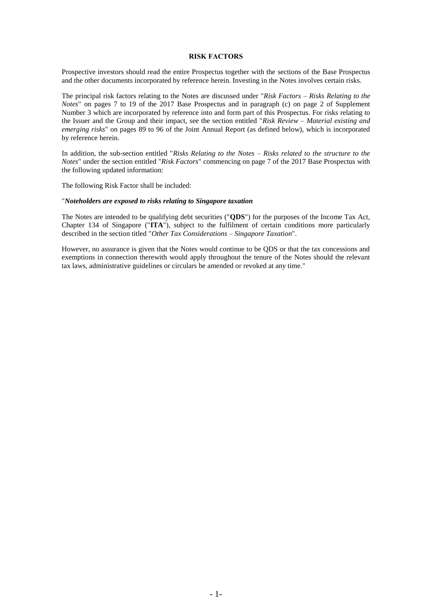#### **RISK FACTORS**

Prospective investors should read the entire Prospectus together with the sections of the Base Prospectus and the other documents incorporated by reference herein. Investing in the Notes involves certain risks.

The principal risk factors relating to the Notes are discussed under "*Risk Factors – Risks Relating to the Notes*" on pages 7 to 19 of the 2017 Base Prospectus and in paragraph (c) on page 2 of Supplement Number 3 which are incorporated by reference into and form part of this Prospectus. For risks relating to the Issuer and the Group and their impact, see the section entitled "*Risk Review – Material existing and emerging risks*" on pages 89 to 96 of the Joint Annual Report (as defined below), which is incorporated by reference herein.

In addition, the sub-section entitled "*Risks Relating to the Notes – Risks related to the structure to the Notes*" under the section entitled "*Risk Factors*" commencing on page 7 of the 2017 Base Prospectus with the following updated information:

The following Risk Factor shall be included:

#### "*Noteholders are exposed to risks relating to Singapore taxation*

The Notes are intended to be qualifying debt securities ("**QDS**") for the purposes of the Income Tax Act, Chapter 134 of Singapore ("**ITA**"), subject to the fulfilment of certain conditions more particularly described in the section titled "*Other Tax Considerations – Singapore Taxation*".

However, no assurance is given that the Notes would continue to be QDS or that the tax concessions and exemptions in connection therewith would apply throughout the tenure of the Notes should the relevant tax laws, administrative guidelines or circulars be amended or revoked at any time."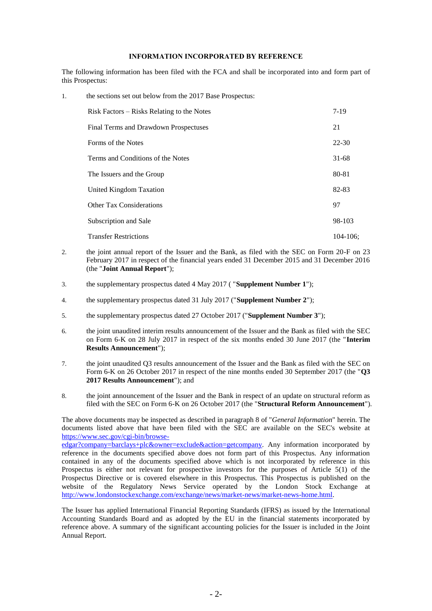## **INFORMATION INCORPORATED BY REFERENCE**

The following information has been filed with the FCA and shall be incorporated into and form part of this Prospectus:

1. the sections set out below from the 2017 Base Prospectus:

| Risk Factors – Risks Relating to the Notes | $7-19$    |
|--------------------------------------------|-----------|
| Final Terms and Drawdown Prospectuses      | 21        |
| Forms of the Notes                         | 22-30     |
| Terms and Conditions of the Notes          | $31 - 68$ |
| The Issuers and the Group                  | 80-81     |
| United Kingdom Taxation                    | 82-83     |
| <b>Other Tax Considerations</b>            | 97        |
| Subscription and Sale                      | 98-103    |
| <b>Transfer Restrictions</b>               | 104-106:  |

- 2. the joint annual report of the Issuer and the Bank, as filed with the SEC on Form 20-F on 23 February 2017 in respect of the financial years ended 31 December 2015 and 31 December 2016 (the "**Joint Annual Report**");
- 3. the supplementary prospectus dated 4 May 2017 ( "**Supplement Number 1**");
- 4. the supplementary prospectus dated 31 July 2017 ("**Supplement Number 2**");
- 5. the supplementary prospectus dated 27 October 2017 ("**Supplement Number 3**");
- 6. the joint unaudited interim results announcement of the Issuer and the Bank as filed with the SEC on Form 6-K on 28 July 2017 in respect of the six months ended 30 June 2017 (the "**Interim Results Announcement**");
- 7. the joint unaudited Q3 results announcement of the Issuer and the Bank as filed with the SEC on Form 6-K on 26 October 2017 in respect of the nine months ended 30 September 2017 (the "**Q3 2017 Results Announcement**"); and
- 8. the joint announcement of the Issuer and the Bank in respect of an update on structural reform as filed with the SEC on Form 6-K on 26 October 2017 (the "**Structural Reform Announcement**").

The above documents may be inspected as described in paragraph 8 of "*General Information*" herein. The documents listed above that have been filed with the SEC are available on the SEC's website at [https://www.sec.gov/cgi-bin/browse-](https://www.sec.gov/cgi-bin/browse-edgar?company=barclays+plc&owner=exclude&action=getcompany)

[edgar?company=barclays+plc&owner=exclude&action=getcompany.](https://www.sec.gov/cgi-bin/browse-edgar?company=barclays+plc&owner=exclude&action=getcompany) Any information incorporated by reference in the documents specified above does not form part of this Prospectus. Any information contained in any of the documents specified above which is not incorporated by reference in this Prospectus is either not relevant for prospective investors for the purposes of Article 5(1) of the Prospectus Directive or is covered elsewhere in this Prospectus. This Prospectus is published on the website of the Regulatory News Service operated by the London Stock Exchange at [http://www.londonstockexchange.com/exchange/news/market-news/market-news-home.html.](http://www.londonstockexchange.com/exchange/news/market-news/market-news-home.html)

The Issuer has applied International Financial Reporting Standards (IFRS) as issued by the International Accounting Standards Board and as adopted by the EU in the financial statements incorporated by reference above. A summary of the significant accounting policies for the Issuer is included in the Joint Annual Report.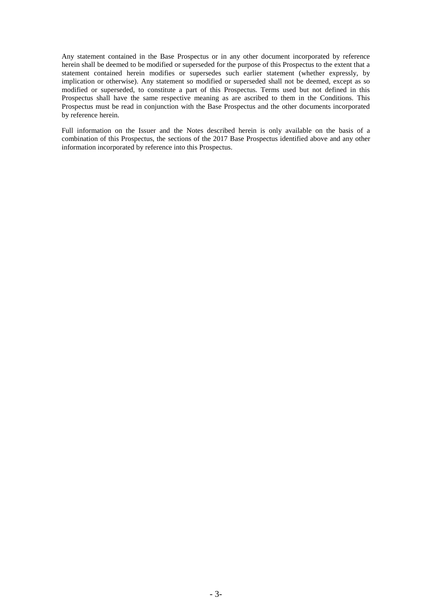Any statement contained in the Base Prospectus or in any other document incorporated by reference herein shall be deemed to be modified or superseded for the purpose of this Prospectus to the extent that a statement contained herein modifies or supersedes such earlier statement (whether expressly, by implication or otherwise). Any statement so modified or superseded shall not be deemed, except as so modified or superseded, to constitute a part of this Prospectus. Terms used but not defined in this Prospectus shall have the same respective meaning as are ascribed to them in the Conditions. This Prospectus must be read in conjunction with the Base Prospectus and the other documents incorporated by reference herein.

Full information on the Issuer and the Notes described herein is only available on the basis of a combination of this Prospectus, the sections of the 2017 Base Prospectus identified above and any other information incorporated by reference into this Prospectus.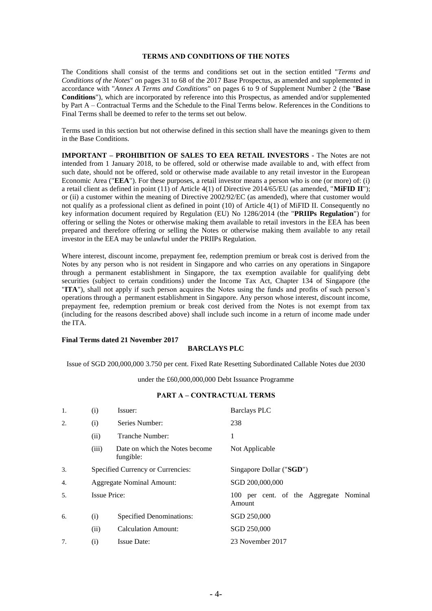#### **TERMS AND CONDITIONS OF THE NOTES**

The Conditions shall consist of the terms and conditions set out in the section entitled "*Terms and Conditions of the Notes*" on pages 31 to 68 of the 2017 Base Prospectus, as amended and supplemented in accordance with "*Annex A Terms and Conditions*" on pages 6 to 9 of Supplement Number 2 (the "**Base Conditions**"), which are incorporated by reference into this Prospectus, as amended and/or supplemented by Part A – Contractual Terms and the Schedule to the Final Terms below. References in the Conditions to Final Terms shall be deemed to refer to the terms set out below.

Terms used in this section but not otherwise defined in this section shall have the meanings given to them in the Base Conditions.

**IMPORTANT – PROHIBITION OF SALES TO EEA RETAIL INVESTORS -** The Notes are not intended from 1 January 2018, to be offered, sold or otherwise made available to and, with effect from such date, should not be offered, sold or otherwise made available to any retail investor in the European Economic Area ("**EEA**"). For these purposes, a retail investor means a person who is one (or more) of: (i) a retail client as defined in point (11) of Article 4(1) of Directive 2014/65/EU (as amended, "**MiFID II**"); or (ii) a customer within the meaning of Directive 2002/92/EC (as amended), where that customer would not qualify as a professional client as defined in point (10) of Article 4(1) of MiFID II. Consequently no key information document required by Regulation (EU) No 1286/2014 (the "**PRIIPs Regulation**") for offering or selling the Notes or otherwise making them available to retail investors in the EEA has been prepared and therefore offering or selling the Notes or otherwise making them available to any retail investor in the EEA may be unlawful under the PRIIPs Regulation.

Where interest, discount income, prepayment fee, redemption premium or break cost is derived from the Notes by any person who is not resident in Singapore and who carries on any operations in Singapore through a permanent establishment in Singapore, the tax exemption available for qualifying debt securities (subject to certain conditions) under the Income Tax Act, Chapter 134 of Singapore (the "**ITA**"), shall not apply if such person acquires the Notes using the funds and profits of such person's operations through a permanent establishment in Singapore. Any person whose interest, discount income, prepayment fee, redemption premium or break cost derived from the Notes is not exempt from tax (including for the reasons described above) shall include such income in a return of income made under the ITA.

#### **Final Terms dated 21 November 2017**

## **BARCLAYS PLC**

Issue of SGD 200,000,000 3.750 per cent. Fixed Rate Resetting Subordinated Callable Notes due 2030

under the £60,000,000,000 Debt Issuance Programme

#### **PART A – CONTRACTUAL TERMS**

| 1.  | (i)                               | Issuer:                                     | <b>Barclays PLC</b>                              |
|-----|-----------------------------------|---------------------------------------------|--------------------------------------------------|
| 2.  | (i)                               | Series Number:                              | 238                                              |
|     | (ii)                              | Tranche Number:                             | 1                                                |
|     | (iii)                             | Date on which the Notes become<br>fungible: | Not Applicable                                   |
| 3.  | Specified Currency or Currencies: |                                             | Singapore Dollar ("SGD")                         |
| 4.  |                                   | <b>Aggregate Nominal Amount:</b>            | SGD 200,000,000                                  |
| .5. | <b>Issue Price:</b>               |                                             | 100 per cent. of the Aggregate Nominal<br>Amount |
| 6.  | (i)                               | Specified Denominations:                    | SGD 250,000                                      |
|     | (ii)                              | <b>Calculation Amount:</b>                  | SGD 250,000                                      |
| 7.  | (i)                               | <b>Issue Date:</b>                          | 23 November 2017                                 |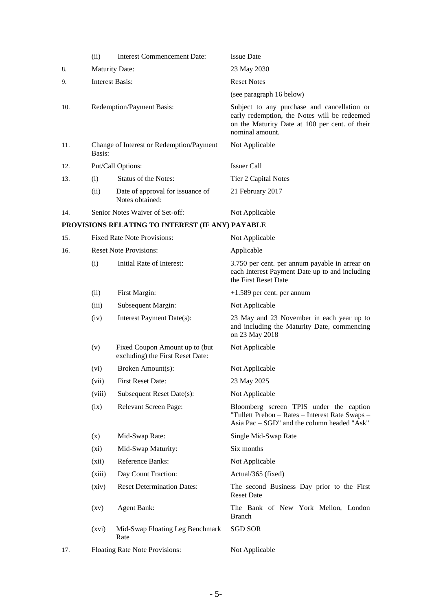|     | (ii)                                               | <b>Interest Commencement Date:</b>                                 | <b>Issue Date</b>                                                                                                                                                |
|-----|----------------------------------------------------|--------------------------------------------------------------------|------------------------------------------------------------------------------------------------------------------------------------------------------------------|
| 8.  | <b>Maturity Date:</b>                              |                                                                    | 23 May 2030                                                                                                                                                      |
| 9.  | <b>Interest Basis:</b>                             |                                                                    | <b>Reset Notes</b>                                                                                                                                               |
|     |                                                    |                                                                    | (see paragraph 16 below)                                                                                                                                         |
| 10. | Redemption/Payment Basis:                          |                                                                    | Subject to any purchase and cancellation or<br>early redemption, the Notes will be redeemed<br>on the Maturity Date at 100 per cent. of their<br>nominal amount. |
| 11. | Change of Interest or Redemption/Payment<br>Basis: |                                                                    | Not Applicable                                                                                                                                                   |
| 12. |                                                    | Put/Call Options:                                                  | <b>Issuer Call</b>                                                                                                                                               |
| 13. | (i)                                                | Status of the Notes:                                               | Tier 2 Capital Notes                                                                                                                                             |
|     | (ii)                                               | Date of approval for issuance of<br>Notes obtained:                | 21 February 2017                                                                                                                                                 |
| 14. |                                                    | Senior Notes Waiver of Set-off:                                    | Not Applicable                                                                                                                                                   |
|     |                                                    | PROVISIONS RELATING TO INTEREST (IF ANY) PAYABLE                   |                                                                                                                                                                  |
| 15. |                                                    | <b>Fixed Rate Note Provisions:</b>                                 | Not Applicable                                                                                                                                                   |
| 16. |                                                    | <b>Reset Note Provisions:</b>                                      | Applicable                                                                                                                                                       |
|     | (i)                                                | Initial Rate of Interest:                                          | 3.750 per cent. per annum payable in arrear on<br>each Interest Payment Date up to and including<br>the First Reset Date                                         |
|     | (ii)                                               | First Margin:                                                      | $+1.589$ per cent. per annum                                                                                                                                     |
|     | (iii)                                              | Subsequent Margin:                                                 | Not Applicable                                                                                                                                                   |
|     | (iv)                                               | Interest Payment Date(s):                                          | 23 May and 23 November in each year up to<br>and including the Maturity Date, commencing<br>on 23 May 2018                                                       |
|     | (v)                                                | Fixed Coupon Amount up to (but<br>excluding) the First Reset Date: | Not Applicable                                                                                                                                                   |
|     | (vi)                                               | Broken Amount(s):                                                  | Not Applicable                                                                                                                                                   |
|     | (vii)                                              | First Reset Date:                                                  | 23 May 2025                                                                                                                                                      |
|     | (viii)                                             | Subsequent Reset Date(s):                                          | Not Applicable                                                                                                                                                   |
|     | (ix)                                               | <b>Relevant Screen Page:</b>                                       | Bloomberg screen TPIS under the caption<br>"Tullett Prebon - Rates - Interest Rate Swaps -<br>Asia Pac – SGD" and the column headed "Ask"                        |
|     | (x)                                                | Mid-Swap Rate:                                                     | Single Mid-Swap Rate                                                                                                                                             |
|     | $(x_i)$                                            | Mid-Swap Maturity:                                                 | Six months                                                                                                                                                       |
|     | (xii)                                              | Reference Banks:                                                   | Not Applicable                                                                                                                                                   |
|     | (xiii)                                             | Day Count Fraction:                                                | Actual/365 (fixed)                                                                                                                                               |
|     | (xiv)                                              | <b>Reset Determination Dates:</b>                                  | The second Business Day prior to the First<br><b>Reset Date</b>                                                                                                  |
|     | $\left( xy\right)$                                 | <b>Agent Bank:</b>                                                 | The Bank of New York Mellon, London<br><b>Branch</b>                                                                                                             |
|     | (xvi)                                              | Mid-Swap Floating Leg Benchmark<br>Rate                            | <b>SGD SOR</b>                                                                                                                                                   |

17. Floating Rate Note Provisions: Not Applicable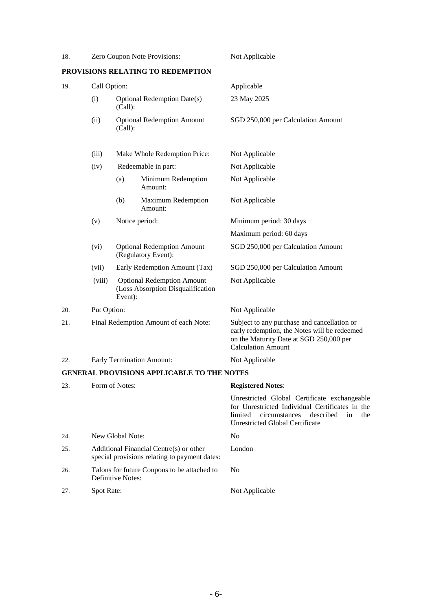| 18.                 | Zero Coupon Note Provisions:                                                                                 |         |                                                                                          | Not Applicable                                                                                                                                                                           |
|---------------------|--------------------------------------------------------------------------------------------------------------|---------|------------------------------------------------------------------------------------------|------------------------------------------------------------------------------------------------------------------------------------------------------------------------------------------|
|                     |                                                                                                              |         | PROVISIONS RELATING TO REDEMPTION                                                        |                                                                                                                                                                                          |
| Call Option:<br>19. |                                                                                                              |         | Applicable                                                                               |                                                                                                                                                                                          |
|                     | (i)<br><b>Optional Redemption Date(s)</b><br>(Call):<br><b>Optional Redemption Amount</b><br>(ii)<br>(Call): |         |                                                                                          | 23 May 2025                                                                                                                                                                              |
|                     |                                                                                                              |         |                                                                                          | SGD 250,000 per Calculation Amount                                                                                                                                                       |
|                     | (iii)                                                                                                        |         | Make Whole Redemption Price:                                                             | Not Applicable                                                                                                                                                                           |
|                     | (iv)                                                                                                         |         | Redeemable in part:                                                                      | Not Applicable                                                                                                                                                                           |
|                     |                                                                                                              | (a)     | Minimum Redemption<br>Amount:                                                            | Not Applicable                                                                                                                                                                           |
|                     |                                                                                                              | (b)     | Maximum Redemption<br>Amount:                                                            | Not Applicable                                                                                                                                                                           |
|                     | (v)                                                                                                          |         | Notice period:                                                                           | Minimum period: 30 days                                                                                                                                                                  |
|                     |                                                                                                              |         |                                                                                          | Maximum period: 60 days                                                                                                                                                                  |
|                     | (vi)                                                                                                         |         | <b>Optional Redemption Amount</b><br>(Regulatory Event):                                 | SGD 250,000 per Calculation Amount                                                                                                                                                       |
|                     | (vii)                                                                                                        |         | Early Redemption Amount (Tax)                                                            | SGD 250,000 per Calculation Amount                                                                                                                                                       |
|                     | (viii)                                                                                                       | Event): | <b>Optional Redemption Amount</b><br>(Loss Absorption Disqualification                   | Not Applicable                                                                                                                                                                           |
| 20.                 | Put Option:                                                                                                  |         |                                                                                          | Not Applicable                                                                                                                                                                           |
| 21.                 | Final Redemption Amount of each Note:                                                                        |         |                                                                                          | Subject to any purchase and cancellation or<br>early redemption, the Notes will be redeemed<br>on the Maturity Date at SGD 250,000 per<br><b>Calculation Amount</b>                      |
| 22.                 | <b>Early Termination Amount:</b>                                                                             |         |                                                                                          | Not Applicable                                                                                                                                                                           |
|                     |                                                                                                              |         | <b>GENERAL PROVISIONS APPLICABLE TO THE NOTES</b>                                        |                                                                                                                                                                                          |
| 23.                 | Form of Notes:                                                                                               |         |                                                                                          | <b>Registered Notes:</b>                                                                                                                                                                 |
|                     |                                                                                                              |         |                                                                                          | Unrestricted Global Certificate exchangeable<br>for Unrestricted Individual Certificates in the<br>limited<br>circumstances<br>described<br>in<br>the<br>Unrestricted Global Certificate |
| 24.                 | New Global Note:                                                                                             |         |                                                                                          | No                                                                                                                                                                                       |
| 25.                 |                                                                                                              |         | Additional Financial Centre(s) or other<br>special provisions relating to payment dates: | London                                                                                                                                                                                   |
| 26.                 | Talons for future Coupons to be attached to<br>Definitive Notes:                                             |         |                                                                                          | N <sub>0</sub>                                                                                                                                                                           |
| 27.                 | Spot Rate:                                                                                                   |         |                                                                                          | Not Applicable                                                                                                                                                                           |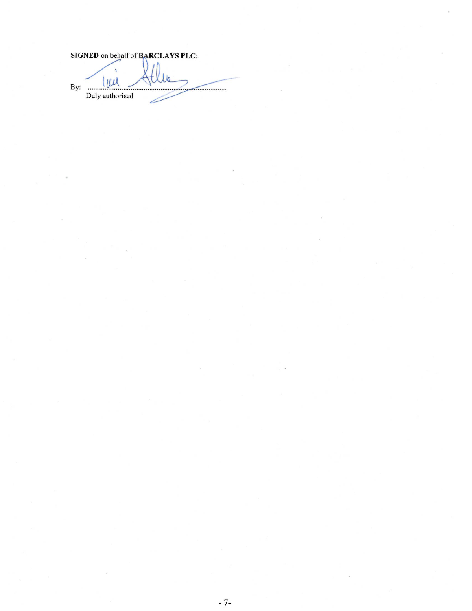|     | SIGNED on behalf of BARCLAYS PLC: |
|-----|-----------------------------------|
| By: |                                   |
|     | Duly authorised                   |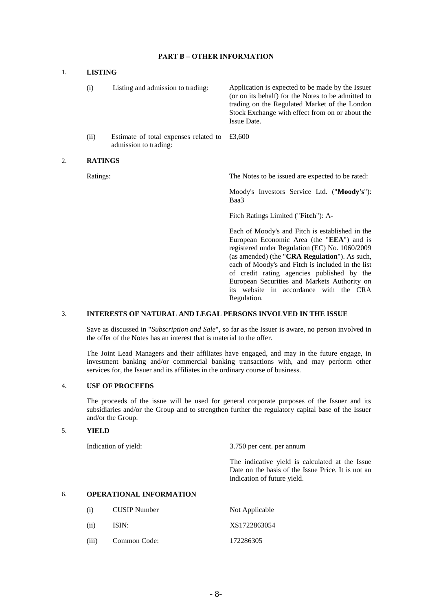## **PART B – OTHER INFORMATION**

#### 1. **LISTING**

| (i)  | Listing and admission to trading:                                             | Application is expected to be made by the Issuer<br>(or on its behalf) for the Notes to be admitted to<br>trading on the Regulated Market of the London<br>Stock Exchange with effect from on or about the<br>Issue Date. |
|------|-------------------------------------------------------------------------------|---------------------------------------------------------------------------------------------------------------------------------------------------------------------------------------------------------------------------|
| (ii) | Estimate of total expenses related to $\pounds3,600$<br>admission to trading: |                                                                                                                                                                                                                           |

#### 2. **RATINGS**

Ratings: The Notes to be issued are expected to be rated:

Moody's Investors Service Ltd. ("**Moody's**"): Baa3

Fitch Ratings Limited ("**Fitch**"): A-

Each of Moody's and Fitch is established in the European Economic Area (the "**EEA**") and is registered under Regulation (EC) No. 1060/2009 (as amended) (the "**CRA Regulation**"). As such, each of Moody's and Fitch is included in the list of credit rating agencies published by the European Securities and Markets Authority on its website in accordance with the CRA Regulation.

## 3. **INTERESTS OF NATURAL AND LEGAL PERSONS INVOLVED IN THE ISSUE**

Save as discussed in "*Subscription and Sale*", so far as the Issuer is aware, no person involved in the offer of the Notes has an interest that is material to the offer.

The Joint Lead Managers and their affiliates have engaged, and may in the future engage, in investment banking and/or commercial banking transactions with, and may perform other services for, the Issuer and its affiliates in the ordinary course of business.

## 4. **USE OF PROCEEDS**

The proceeds of the issue will be used for general corporate purposes of the Issuer and its subsidiaries and/or the Group and to strengthen further the regulatory capital base of the Issuer and/or the Group.

### 5. z**YIELD**

Indication of yield: 3.750 per cent. per annum

The indicative yield is calculated at the Issue Date on the basis of the Issue Price. It is not an indication of future yield.

# 6. **OPERATIONAL INFORMATION**

| (i)   | <b>CUSIP</b> Number | Not Applicable |
|-------|---------------------|----------------|
| (ii)  | ISIN:               | XS1722863054   |
| (iii) | Common Code:        | 172286305      |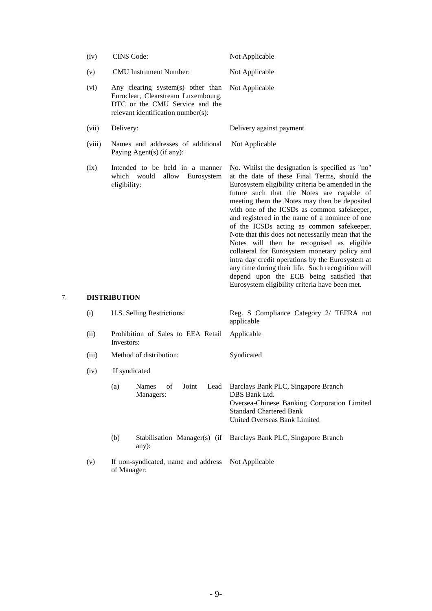|    | (iv)                | CINS Code:                                                                                                                                      | Not Applicable                                                                                                                                                                                                                                                                                                                                                                                                                                                                                                                                                                                                                                                                                                                                            |
|----|---------------------|-------------------------------------------------------------------------------------------------------------------------------------------------|-----------------------------------------------------------------------------------------------------------------------------------------------------------------------------------------------------------------------------------------------------------------------------------------------------------------------------------------------------------------------------------------------------------------------------------------------------------------------------------------------------------------------------------------------------------------------------------------------------------------------------------------------------------------------------------------------------------------------------------------------------------|
|    | (v)                 | <b>CMU</b> Instrument Number:                                                                                                                   | Not Applicable                                                                                                                                                                                                                                                                                                                                                                                                                                                                                                                                                                                                                                                                                                                                            |
|    | (vi)                | Any clearing system(s) other than<br>Euroclear, Clearstream Luxembourg,<br>DTC or the CMU Service and the<br>relevant identification number(s): | Not Applicable                                                                                                                                                                                                                                                                                                                                                                                                                                                                                                                                                                                                                                                                                                                                            |
|    | (vii)               | Delivery:                                                                                                                                       | Delivery against payment                                                                                                                                                                                                                                                                                                                                                                                                                                                                                                                                                                                                                                                                                                                                  |
|    | (viii)              | Names and addresses of additional<br>Paying Agent(s) (if any):                                                                                  | Not Applicable                                                                                                                                                                                                                                                                                                                                                                                                                                                                                                                                                                                                                                                                                                                                            |
|    | (ix)                | Intended to be held in a manner<br>which<br>would<br>allow Eurosystem<br>eligibility:                                                           | No. Whilst the designation is specified as "no"<br>at the date of these Final Terms, should the<br>Eurosystem eligibility criteria be amended in the<br>future such that the Notes are capable of<br>meeting them the Notes may then be deposited<br>with one of the ICSDs as common safekeeper,<br>and registered in the name of a nominee of one<br>of the ICSDs acting as common safekeeper.<br>Note that this does not necessarily mean that the<br>Notes will then be recognised as eligible<br>collateral for Eurosystem monetary policy and<br>intra day credit operations by the Eurosystem at<br>any time during their life. Such recognition will<br>depend upon the ECB being satisfied that<br>Eurosystem eligibility criteria have been met. |
| 7. | <b>DISTRIBUTION</b> |                                                                                                                                                 |                                                                                                                                                                                                                                                                                                                                                                                                                                                                                                                                                                                                                                                                                                                                                           |
|    | (i)                 | U.S. Selling Restrictions:                                                                                                                      | Reg. S Compliance Category 2/ TEFRA not<br>applicable                                                                                                                                                                                                                                                                                                                                                                                                                                                                                                                                                                                                                                                                                                     |
|    | (ii)                | Prohibition of Sales to EEA Retail<br>Investors:                                                                                                | Applicable                                                                                                                                                                                                                                                                                                                                                                                                                                                                                                                                                                                                                                                                                                                                                |
|    | (iii)               | Method of distribution:                                                                                                                         | Syndicated                                                                                                                                                                                                                                                                                                                                                                                                                                                                                                                                                                                                                                                                                                                                                |
|    | (iv)                | If syndicated                                                                                                                                   |                                                                                                                                                                                                                                                                                                                                                                                                                                                                                                                                                                                                                                                                                                                                                           |
|    |                     | of<br>(a)<br>Names<br>Joint<br>Lead<br>Managers:                                                                                                | Barclays Bank PLC, Singapore Branch<br>DBS Bank Ltd.<br>Oversea-Chinese Banking Corporation Limited<br><b>Standard Chartered Bank</b><br>United Overseas Bank Limited                                                                                                                                                                                                                                                                                                                                                                                                                                                                                                                                                                                     |
|    |                     | (b)<br>Stabilisation Manager(s) (if<br>any):                                                                                                    | Barclays Bank PLC, Singapore Branch                                                                                                                                                                                                                                                                                                                                                                                                                                                                                                                                                                                                                                                                                                                       |

(v) If non-syndicated, name and address of Manager: Not Applicable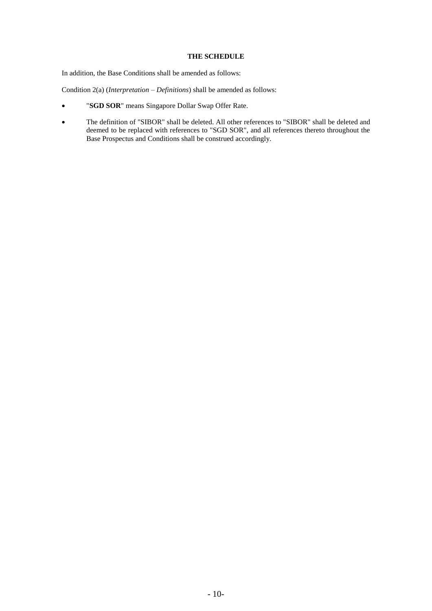## **THE SCHEDULE**

In addition, the Base Conditions shall be amended as follows:

Condition 2(a) (*Interpretation – Definitions*) shall be amended as follows:

- "**SGD SOR**" means Singapore Dollar Swap Offer Rate.
- The definition of "SIBOR" shall be deleted. All other references to "SIBOR" shall be deleted and deemed to be replaced with references to "SGD SOR", and all references thereto throughout the Base Prospectus and Conditions shall be construed accordingly.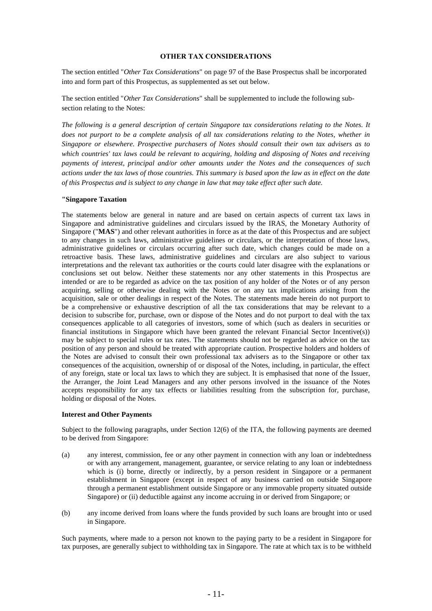### **OTHER TAX CONSIDERATIONS**

The section entitled "*Other Tax Considerations*" on page 97 of the Base Prospectus shall be incorporated into and form part of this Prospectus, as supplemented as set out below.

The section entitled "*Other Tax Considerations*" shall be supplemented to include the following subsection relating to the Notes:

*The following is a general description of certain Singapore tax considerations relating to the Notes. It does not purport to be a complete analysis of all tax considerations relating to the Notes, whether in Singapore or elsewhere. Prospective purchasers of Notes should consult their own tax advisers as to which countries' tax laws could be relevant to acquiring, holding and disposing of Notes and receiving payments of interest, principal and/or other amounts under the Notes and the consequences of such actions under the tax laws of those countries. This summary is based upon the law as in effect on the date of this Prospectus and is subject to any change in law that may take effect after such date.*

### **"Singapore Taxation**

The statements below are general in nature and are based on certain aspects of current tax laws in Singapore and administrative guidelines and circulars issued by the IRAS, the Monetary Authority of Singapore ("**MAS**") and other relevant authorities in force as at the date of this Prospectus and are subject to any changes in such laws, administrative guidelines or circulars, or the interpretation of those laws, administrative guidelines or circulars occurring after such date, which changes could be made on a retroactive basis. These laws, administrative guidelines and circulars are also subject to various interpretations and the relevant tax authorities or the courts could later disagree with the explanations or conclusions set out below. Neither these statements nor any other statements in this Prospectus are intended or are to be regarded as advice on the tax position of any holder of the Notes or of any person acquiring, selling or otherwise dealing with the Notes or on any tax implications arising from the acquisition, sale or other dealings in respect of the Notes. The statements made herein do not purport to be a comprehensive or exhaustive description of all the tax considerations that may be relevant to a decision to subscribe for, purchase, own or dispose of the Notes and do not purport to deal with the tax consequences applicable to all categories of investors, some of which (such as dealers in securities or financial institutions in Singapore which have been granted the relevant Financial Sector Incentive(s)) may be subject to special rules or tax rates. The statements should not be regarded as advice on the tax position of any person and should be treated with appropriate caution. Prospective holders and holders of the Notes are advised to consult their own professional tax advisers as to the Singapore or other tax consequences of the acquisition, ownership of or disposal of the Notes, including, in particular, the effect of any foreign, state or local tax laws to which they are subject. It is emphasised that none of the Issuer, the Arranger, the Joint Lead Managers and any other persons involved in the issuance of the Notes accepts responsibility for any tax effects or liabilities resulting from the subscription for, purchase, holding or disposal of the Notes.

### **Interest and Other Payments**

Subject to the following paragraphs, under Section 12(6) of the ITA, the following payments are deemed to be derived from Singapore:

- (a) any interest, commission, fee or any other payment in connection with any loan or indebtedness or with any arrangement, management, guarantee, or service relating to any loan or indebtedness which is (i) borne, directly or indirectly, by a person resident in Singapore or a permanent establishment in Singapore (except in respect of any business carried on outside Singapore through a permanent establishment outside Singapore or any immovable property situated outside Singapore) or (ii) deductible against any income accruing in or derived from Singapore; or
- (b) any income derived from loans where the funds provided by such loans are brought into or used in Singapore.

Such payments, where made to a person not known to the paying party to be a resident in Singapore for tax purposes, are generally subject to withholding tax in Singapore. The rate at which tax is to be withheld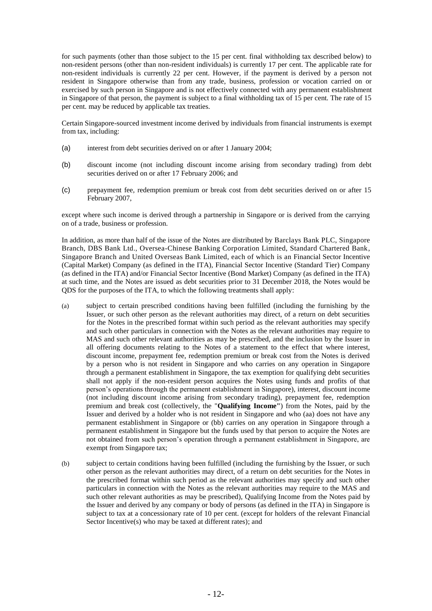for such payments (other than those subject to the 15 per cent. final withholding tax described below) to non-resident persons (other than non-resident individuals) is currently 17 per cent. The applicable rate for non-resident individuals is currently 22 per cent. However, if the payment is derived by a person not resident in Singapore otherwise than from any trade, business, profession or vocation carried on or exercised by such person in Singapore and is not effectively connected with any permanent establishment in Singapore of that person, the payment is subject to a final withholding tax of 15 per cent. The rate of 15 per cent. may be reduced by applicable tax treaties.

Certain Singapore-sourced investment income derived by individuals from financial instruments is exempt from tax, including:

- (a) interest from debt securities derived on or after 1 January 2004;
- (b) discount income (not including discount income arising from secondary trading) from debt securities derived on or after 17 February 2006; and
- (c) prepayment fee, redemption premium or break cost from debt securities derived on or after 15 February 2007,

except where such income is derived through a partnership in Singapore or is derived from the carrying on of a trade, business or profession.

In addition, as more than half of the issue of the Notes are distributed by Barclays Bank PLC, Singapore Branch, DBS Bank Ltd., Oversea-Chinese Banking Corporation Limited, Standard Chartered Bank, Singapore Branch and United Overseas Bank Limited, each of which is an Financial Sector Incentive (Capital Market) Company (as defined in the ITA), Financial Sector Incentive (Standard Tier) Company (as defined in the ITA) and/or Financial Sector Incentive (Bond Market) Company (as defined in the ITA) at such time, and the Notes are issued as debt securities prior to 31 December 2018, the Notes would be QDS for the purposes of the ITA, to which the following treatments shall apply:

- (a) subject to certain prescribed conditions having been fulfilled (including the furnishing by the Issuer, or such other person as the relevant authorities may direct, of a return on debt securities for the Notes in the prescribed format within such period as the relevant authorities may specify and such other particulars in connection with the Notes as the relevant authorities may require to MAS and such other relevant authorities as may be prescribed, and the inclusion by the Issuer in all offering documents relating to the Notes of a statement to the effect that where interest, discount income, prepayment fee, redemption premium or break cost from the Notes is derived by a person who is not resident in Singapore and who carries on any operation in Singapore through a permanent establishment in Singapore, the tax exemption for qualifying debt securities shall not apply if the non-resident person acquires the Notes using funds and profits of that person's operations through the permanent establishment in Singapore), interest, discount income (not including discount income arising from secondary trading), prepayment fee, redemption premium and break cost (collectively, the "**Qualifying Income"**) from the Notes, paid by the Issuer and derived by a holder who is not resident in Singapore and who (aa) does not have any permanent establishment in Singapore or (bb) carries on any operation in Singapore through a permanent establishment in Singapore but the funds used by that person to acquire the Notes are not obtained from such person's operation through a permanent establishment in Singapore, are exempt from Singapore tax;
- (b) subject to certain conditions having been fulfilled (including the furnishing by the Issuer, or such other person as the relevant authorities may direct, of a return on debt securities for the Notes in the prescribed format within such period as the relevant authorities may specify and such other particulars in connection with the Notes as the relevant authorities may require to the MAS and such other relevant authorities as may be prescribed), Qualifying Income from the Notes paid by the Issuer and derived by any company or body of persons (as defined in the ITA) in Singapore is subject to tax at a concessionary rate of 10 per cent. (except for holders of the relevant Financial Sector Incentive(s) who may be taxed at different rates); and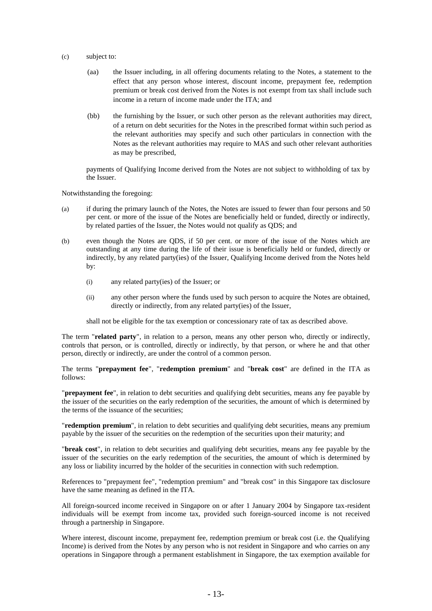- (c) subject to:
	- (aa) the Issuer including, in all offering documents relating to the Notes, a statement to the effect that any person whose interest, discount income, prepayment fee, redemption premium or break cost derived from the Notes is not exempt from tax shall include such income in a return of income made under the ITA; and
	- (bb) the furnishing by the Issuer, or such other person as the relevant authorities may direct, of a return on debt securities for the Notes in the prescribed format within such period as the relevant authorities may specify and such other particulars in connection with the Notes as the relevant authorities may require to MAS and such other relevant authorities as may be prescribed,

payments of Qualifying Income derived from the Notes are not subject to withholding of tax by the Issuer.

Notwithstanding the foregoing:

- (a) if during the primary launch of the Notes, the Notes are issued to fewer than four persons and 50 per cent. or more of the issue of the Notes are beneficially held or funded, directly or indirectly, by related parties of the Issuer, the Notes would not qualify as QDS; and
- (b) even though the Notes are QDS, if 50 per cent. or more of the issue of the Notes which are outstanding at any time during the life of their issue is beneficially held or funded, directly or indirectly, by any related party(ies) of the Issuer, Qualifying Income derived from the Notes held by:
	- (i) any related party(ies) of the Issuer; or
	- (ii) any other person where the funds used by such person to acquire the Notes are obtained, directly or indirectly, from any related party(ies) of the Issuer,

shall not be eligible for the tax exemption or concessionary rate of tax as described above.

The term "**related party**", in relation to a person, means any other person who, directly or indirectly, controls that person, or is controlled, directly or indirectly, by that person, or where he and that other person, directly or indirectly, are under the control of a common person.

The terms "**prepayment fee**", "**redemption premium**" and "**break cost**" are defined in the ITA as follows:

"**prepayment fee**", in relation to debt securities and qualifying debt securities, means any fee payable by the issuer of the securities on the early redemption of the securities, the amount of which is determined by the terms of the issuance of the securities;

"**redemption premium**", in relation to debt securities and qualifying debt securities, means any premium payable by the issuer of the securities on the redemption of the securities upon their maturity; and

"**break cost**", in relation to debt securities and qualifying debt securities, means any fee payable by the issuer of the securities on the early redemption of the securities, the amount of which is determined by any loss or liability incurred by the holder of the securities in connection with such redemption.

References to "prepayment fee", "redemption premium" and "break cost" in this Singapore tax disclosure have the same meaning as defined in the ITA.

All foreign-sourced income received in Singapore on or after 1 January 2004 by Singapore tax-resident individuals will be exempt from income tax, provided such foreign-sourced income is not received through a partnership in Singapore.

Where interest, discount income, prepayment fee, redemption premium or break cost (i.e. the Qualifying Income) is derived from the Notes by any person who is not resident in Singapore and who carries on any operations in Singapore through a permanent establishment in Singapore, the tax exemption available for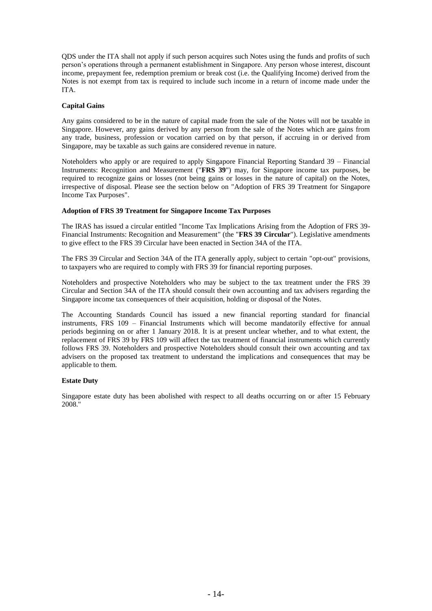QDS under the ITA shall not apply if such person acquires such Notes using the funds and profits of such person's operations through a permanent establishment in Singapore. Any person whose interest, discount income, prepayment fee, redemption premium or break cost (i.e. the Qualifying Income) derived from the Notes is not exempt from tax is required to include such income in a return of income made under the ITA.

## **Capital Gains**

Any gains considered to be in the nature of capital made from the sale of the Notes will not be taxable in Singapore. However, any gains derived by any person from the sale of the Notes which are gains from any trade, business, profession or vocation carried on by that person, if accruing in or derived from Singapore, may be taxable as such gains are considered revenue in nature.

Noteholders who apply or are required to apply Singapore Financial Reporting Standard 39 – Financial Instruments: Recognition and Measurement ("**FRS 39**") may, for Singapore income tax purposes, be required to recognize gains or losses (not being gains or losses in the nature of capital) on the Notes, irrespective of disposal. Please see the section below on "Adoption of FRS 39 Treatment for Singapore Income Tax Purposes".

## **Adoption of FRS 39 Treatment for Singapore Income Tax Purposes**

The IRAS has issued a circular entitled "Income Tax Implications Arising from the Adoption of FRS 39- Financial Instruments: Recognition and Measurement" (the "**FRS 39 Circular**"). Legislative amendments to give effect to the FRS 39 Circular have been enacted in Section 34A of the ITA.

The FRS 39 Circular and Section 34A of the ITA generally apply, subject to certain "opt-out" provisions, to taxpayers who are required to comply with FRS 39 for financial reporting purposes.

Noteholders and prospective Noteholders who may be subject to the tax treatment under the FRS 39 Circular and Section 34A of the ITA should consult their own accounting and tax advisers regarding the Singapore income tax consequences of their acquisition, holding or disposal of the Notes.

The Accounting Standards Council has issued a new financial reporting standard for financial instruments, FRS 109 – Financial Instruments which will become mandatorily effective for annual periods beginning on or after 1 January 2018. It is at present unclear whether, and to what extent, the replacement of FRS 39 by FRS 109 will affect the tax treatment of financial instruments which currently follows FRS 39. Noteholders and prospective Noteholders should consult their own accounting and tax advisers on the proposed tax treatment to understand the implications and consequences that may be applicable to them.

## **Estate Duty**

Singapore estate duty has been abolished with respect to all deaths occurring on or after 15 February 2008."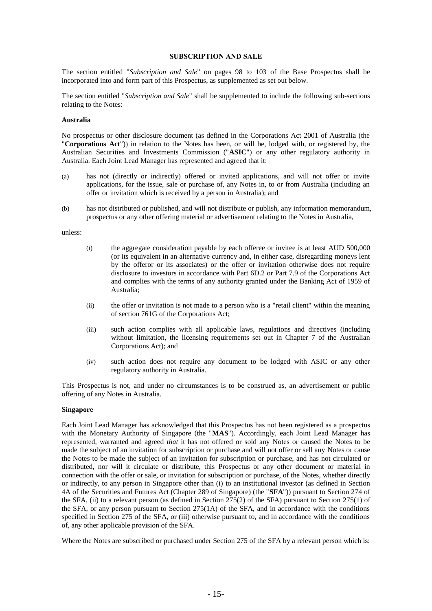#### **SUBSCRIPTION AND SALE**

The section entitled "*Subscription and Sale*" on pages 98 to 103 of the Base Prospectus shall be incorporated into and form part of this Prospectus, as supplemented as set out below.

The section entitled "*Subscription and Sale*" shall be supplemented to include the following sub-sections relating to the Notes:

#### **Australia**

No prospectus or other disclosure document (as defined in the Corporations Act 2001 of Australia (the "**Corporations Act**")) in relation to the Notes has been, or will be, lodged with, or registered by, the Australian Securities and Investments Commission ("**ASIC**") or any other regulatory authority in Australia. Each Joint Lead Manager has represented and agreed that it:

- (a) has not (directly or indirectly) offered or invited applications, and will not offer or invite applications, for the issue, sale or purchase of, any Notes in, to or from Australia (including an offer or invitation which is received by a person in Australia); and
- (b) has not distributed or published, and will not distribute or publish, any information memorandum, prospectus or any other offering material or advertisement relating to the Notes in Australia,

unless:

- (i) the aggregate consideration payable by each offeree or invitee is at least AUD 500,000 (or its equivalent in an alternative currency and, in either case, disregarding moneys lent by the offeror or its associates) or the offer or invitation otherwise does not require disclosure to investors in accordance with Part 6D.2 or Part 7.9 of the Corporations Act and complies with the terms of any authority granted under the Banking Act of 1959 of Australia;
- (ii) the offer or invitation is not made to a person who is a "retail client" within the meaning of section 761G of the Corporations Act;
- (iii) such action complies with all applicable laws, regulations and directives (including without limitation, the licensing requirements set out in Chapter 7 of the Australian Corporations Act); and
- (iv) such action does not require any document to be lodged with ASIC or any other regulatory authority in Australia.

This Prospectus is not, and under no circumstances is to be construed as, an advertisement or public offering of any Notes in Australia.

## **Singapore**

Each Joint Lead Manager has acknowledged that this Prospectus has not been registered as a prospectus with the Monetary Authority of Singapore (the "**MAS**"). Accordingly, each Joint Lead Manager has represented, warranted and agreed *that* it has not offered or sold any Notes or caused the Notes to be made the subject of an invitation for subscription or purchase and will not offer or sell any Notes or cause the Notes to be made the subject of an invitation for subscription or purchase, and has not circulated or distributed, nor will it circulate or distribute, this Prospectus or any other document or material in connection with the offer or sale, or invitation for subscription or purchase, of the Notes, whether directly or indirectly, to any person in Singapore other than (i) to an institutional investor (as defined in Section 4A of the Securities and Futures Act (Chapter 289 of Singapore) (the "**SFA**")) pursuant to Section 274 of the SFA, (ii) to a relevant person (as defined in Section  $275(2)$  of the SFA) pursuant to Section 275(1) of the SFA, or any person pursuant to Section 275(1A) of the SFA, and in accordance with the conditions specified in Section 275 of the SFA, or (iii) otherwise pursuant to, and in accordance with the conditions of, any other applicable provision of the SFA.

Where the Notes are subscribed or purchased under Section 275 of the SFA by a relevant person which is: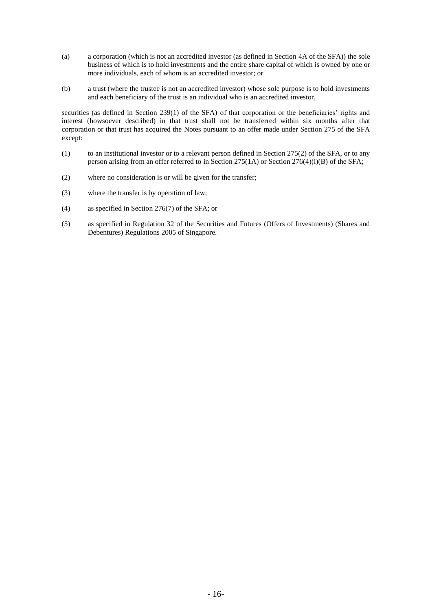- (a) a corporation (which is not an accredited investor (as defined in Section 4A of the SFA)) the sole business of which is to hold investments and the entire share capital of which is owned by one or more individuals, each of whom is an accredited investor; or
- (b) a trust (where the trustee is not an accredited investor) whose sole purpose is to hold investments and each beneficiary of the trust is an individual who is an accredited investor,

securities (as defined in Section 239(1) of the SFA) of that corporation or the beneficiaries' rights and interest (howsoever described) in that trust shall not be transferred within six months after that corporation or that trust has acquired the Notes pursuant to an offer made under Section 275 of the SFA except:

- (1) to an institutional investor or to a relevant person defined in Section 275(2) of the SFA, or to any person arising from an offer referred to in Section 275(1A) or Section 276(4)(i)(B) of the SFA;
- (2) where no consideration is or will be given for the transfer;
- (3) where the transfer is by operation of law;
- (4) as specified in Section 276(7) of the SFA; or
- (5) as specified in Regulation 32 of the Securities and Futures (Offers of Investments) (Shares and Debentures) Regulations 2005 of Singapore.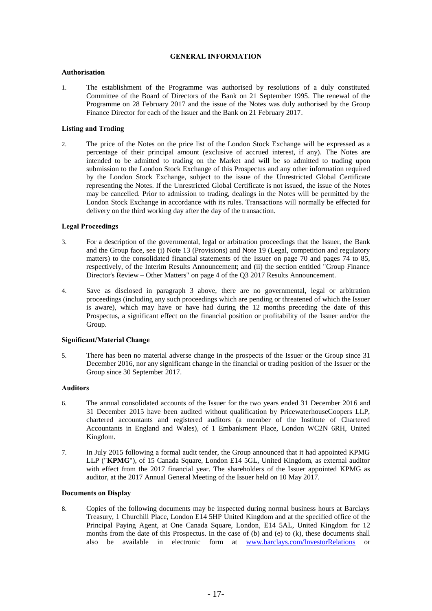## **GENERAL INFORMATION**

### **Authorisation**

1. The establishment of the Programme was authorised by resolutions of a duly constituted Committee of the Board of Directors of the Bank on 21 September 1995. The renewal of the Programme on 28 February 2017 and the issue of the Notes was duly authorised by the Group Finance Director for each of the Issuer and the Bank on 21 February 2017.

## **Listing and Trading**

2. The price of the Notes on the price list of the London Stock Exchange will be expressed as a percentage of their principal amount (exclusive of accrued interest, if any). The Notes are intended to be admitted to trading on the Market and will be so admitted to trading upon submission to the London Stock Exchange of this Prospectus and any other information required by the London Stock Exchange, subject to the issue of the Unrestricted Global Certificate representing the Notes. If the Unrestricted Global Certificate is not issued, the issue of the Notes may be cancelled. Prior to admission to trading, dealings in the Notes will be permitted by the London Stock Exchange in accordance with its rules. Transactions will normally be effected for delivery on the third working day after the day of the transaction.

### **Legal Proceedings**

- 3. For a description of the governmental, legal or arbitration proceedings that the Issuer, the Bank and the Group face, see (i) Note 13 (Provisions) and Note 19 (Legal, competition and regulatory matters) to the consolidated financial statements of the Issuer on page 70 and pages 74 to 85, respectively, of the Interim Results Announcement; and (ii) the section entitled "Group Finance Director's Review – Other Matters" on page 4 of the Q3 2017 Results Announcement.
- 4. Save as disclosed in paragraph 3 above, there are no governmental, legal or arbitration proceedings (including any such proceedings which are pending or threatened of which the Issuer is aware), which may have or have had during the 12 months preceding the date of this Prospectus, a significant effect on the financial position or profitability of the Issuer and/or the Group.

#### **Significant/Material Change**

5. There has been no material adverse change in the prospects of the Issuer or the Group since 31 December 2016, nor any significant change in the financial or trading position of the Issuer or the Group since 30 September 2017.

## **Auditors**

- 6. The annual consolidated accounts of the Issuer for the two years ended 31 December 2016 and 31 December 2015 have been audited without qualification by PricewaterhouseCoopers LLP, chartered accountants and registered auditors (a member of the Institute of Chartered Accountants in England and Wales), of 1 Embankment Place, London WC2N 6RH, United Kingdom.
- 7. In July 2015 following a formal audit tender, the Group announced that it had appointed KPMG LLP ("**KPMG**"), of 15 Canada Square, London E14 5GL, United Kingdom, as external auditor with effect from the 2017 financial year. The shareholders of the Issuer appointed KPMG as auditor, at the 2017 Annual General Meeting of the Issuer held on 10 May 2017.

## **Documents on Display**

8. Copies of the following documents may be inspected during normal business hours at Barclays Treasury, 1 Churchill Place, London E14 5HP United Kingdom and at the specified office of the Principal Paying Agent, at One Canada Square, London, E14 5AL, United Kingdom for 12 months from the date of this Prospectus. In the case of (b) and (e) to (k), these documents shall also be available in electronic form at [www.barclays.com/InvestorRelations](http://www.barclays.com/InvestorRelations) or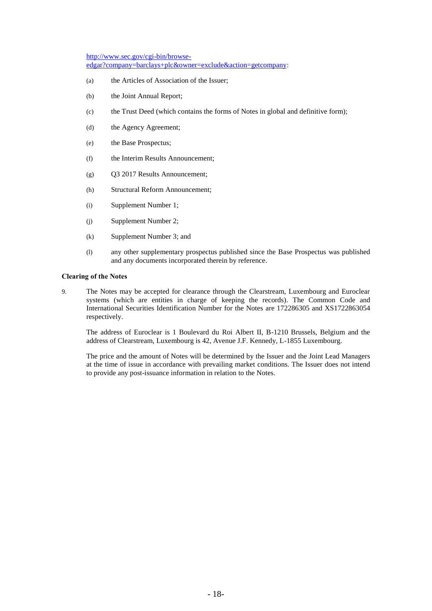[http://www.sec.gov/cgi-bin/browse](http://www.sec.gov/cgi-bin/browse-edgar?company=barclays+plc&owner=exclude&action=getcompany)[edgar?company=barclays+plc&owner=exclude&action=getcompany:](http://www.sec.gov/cgi-bin/browse-edgar?company=barclays+plc&owner=exclude&action=getcompany)

- (a) the Articles of Association of the Issuer;
- (b) the Joint Annual Report;
- (c) the Trust Deed (which contains the forms of Notes in global and definitive form);
- (d) the Agency Agreement;
- (e) the Base Prospectus;
- (f) the Interim Results Announcement;
- (g) Q3 2017 Results Announcement;
- (h) Structural Reform Announcement;
- (i) Supplement Number 1;
- (j) Supplement Number 2;
- (k) Supplement Number 3; and
- (l) any other supplementary prospectus published since the Base Prospectus was published and any documents incorporated therein by reference.

## **Clearing of the Notes**

9. The Notes may be accepted for clearance through the Clearstream, Luxembourg and Euroclear systems (which are entities in charge of keeping the records). The Common Code and International Securities Identification Number for the Notes are 172286305 and XS1722863054 respectively.

The address of Euroclear is 1 Boulevard du Roi Albert II, B-1210 Brussels, Belgium and the address of Clearstream, Luxembourg is 42, Avenue J.F. Kennedy, L-1855 Luxembourg.

The price and the amount of Notes will be determined by the Issuer and the Joint Lead Managers at the time of issue in accordance with prevailing market conditions. The Issuer does not intend to provide any post-issuance information in relation to the Notes.